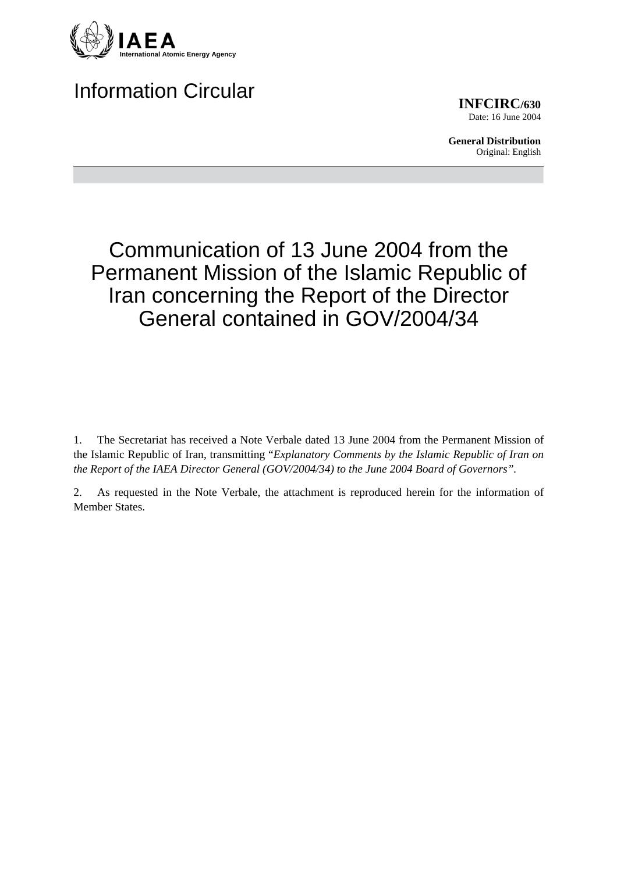

# Information Circular

**INFCIRC/630** Date: 16 June 2004

**General Distribution** Original: English

# Communication of 13 June 2004 from the Permanent Mission of the Islamic Republic of Iran concerning the Report of the Director General contained in GOV/2004/34

1. The Secretariat has received a Note Verbale dated 13 June 2004 from the Permanent Mission of the Islamic Republic of Iran, transmitting "*Explanatory Comments by the Islamic Republic of Iran on the Report of the IAEA Director General (GOV/2004/34) to the June 2004 Board of Governors".*

2. As requested in the Note Verbale, the attachment is reproduced herein for the information of Member States.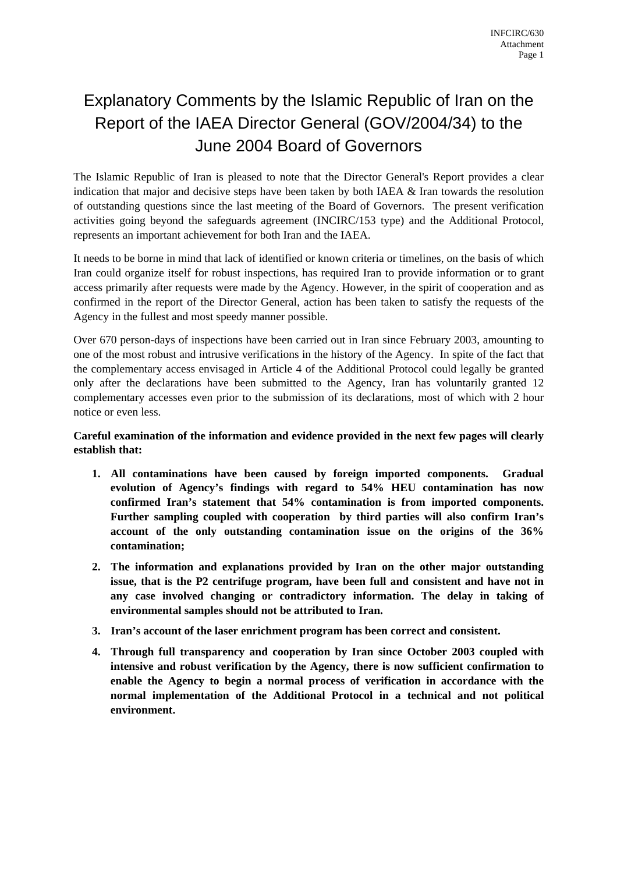## Explanatory Comments by the Islamic Republic of Iran on the Report of the IAEA Director General (GOV/2004/34) to the June 2004 Board of Governors

The Islamic Republic of Iran is pleased to note that the Director General's Report provides a clear indication that major and decisive steps have been taken by both IAEA  $\&$  Iran towards the resolution of outstanding questions since the last meeting of the Board of Governors. The present verification activities going beyond the safeguards agreement (INCIRC/153 type) and the Additional Protocol, represents an important achievement for both Iran and the IAEA.

It needs to be borne in mind that lack of identified or known criteria or timelines, on the basis of which Iran could organize itself for robust inspections, has required Iran to provide information or to grant access primarily after requests were made by the Agency. However, in the spirit of cooperation and as confirmed in the report of the Director General, action has been taken to satisfy the requests of the Agency in the fullest and most speedy manner possible.

Over 670 person-days of inspections have been carried out in Iran since February 2003, amounting to one of the most robust and intrusive verifications in the history of the Agency. In spite of the fact that the complementary access envisaged in Article 4 of the Additional Protocol could legally be granted only after the declarations have been submitted to the Agency, Iran has voluntarily granted 12 complementary accesses even prior to the submission of its declarations, most of which with 2 hour notice or even less.

#### **Careful examination of the information and evidence provided in the next few pages will clearly establish that:**

- **1. All contaminations have been caused by foreign imported components. Gradual evolution of Agency's findings with regard to 54% HEU contamination has now confirmed Iran's statement that 54% contamination is from imported components. Further sampling coupled with cooperation by third parties will also confirm Iran's account of the only outstanding contamination issue on the origins of the 36% contamination;**
- **2. The information and explanations provided by Iran on the other major outstanding issue, that is the P2 centrifuge program, have been full and consistent and have not in any case involved changing or contradictory information. The delay in taking of environmental samples should not be attributed to Iran.**
- **3. Iran's account of the laser enrichment program has been correct and consistent.**
- **4. Through full transparency and cooperation by Iran since October 2003 coupled with intensive and robust verification by the Agency, there is now sufficient confirmation to enable the Agency to begin a normal process of verification in accordance with the normal implementation of the Additional Protocol in a technical and not political environment.**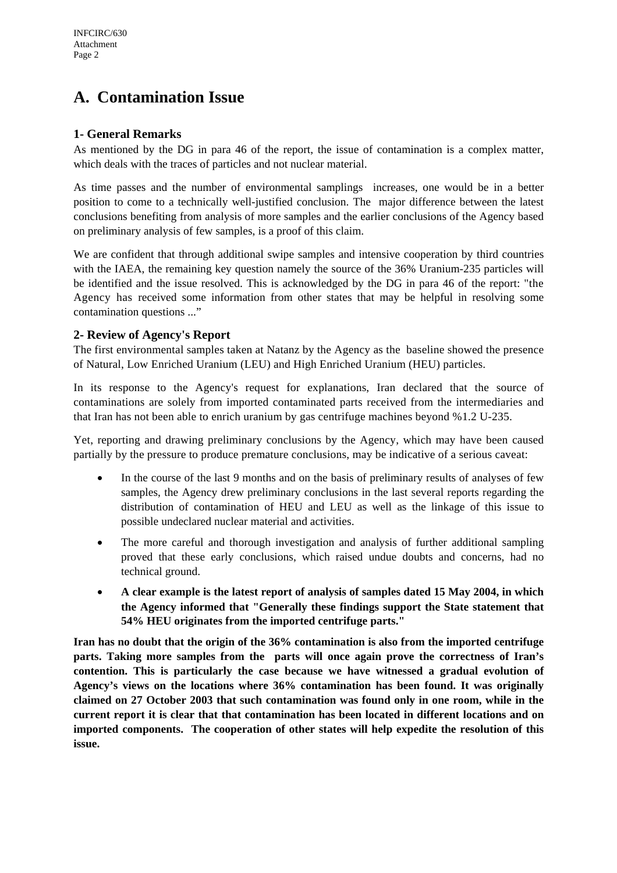## **A. Contamination Issue**

#### **1- General Remarks**

As mentioned by the DG in para 46 of the report, the issue of contamination is a complex matter, which deals with the traces of particles and not nuclear material.

As time passes and the number of environmental samplings increases, one would be in a better position to come to a technically well-justified conclusion. The major difference between the latest conclusions benefiting from analysis of more samples and the earlier conclusions of the Agency based on preliminary analysis of few samples, is a proof of this claim.

We are confident that through additional swipe samples and intensive cooperation by third countries with the IAEA, the remaining key question namely the source of the 36% Uranium-235 particles will be identified and the issue resolved. This is acknowledged by the DG in para 46 of the report: "the Agency has received some information from other states that may be helpful in resolving some contamination questions ..."

#### **2- Review of Agency's Report**

The first environmental samples taken at Natanz by the Agency as the baseline showed the presence of Natural, Low Enriched Uranium (LEU) and High Enriched Uranium (HEU) particles.

In its response to the Agency's request for explanations, Iran declared that the source of contaminations are solely from imported contaminated parts received from the intermediaries and that Iran has not been able to enrich uranium by gas centrifuge machines beyond %1.2 U-235.

Yet, reporting and drawing preliminary conclusions by the Agency, which may have been caused partially by the pressure to produce premature conclusions, may be indicative of a serious caveat:

- In the course of the last 9 months and on the basis of preliminary results of analyses of few samples, the Agency drew preliminary conclusions in the last several reports regarding the distribution of contamination of HEU and LEU as well as the linkage of this issue to possible undeclared nuclear material and activities.
- The more careful and thorough investigation and analysis of further additional sampling proved that these early conclusions, which raised undue doubts and concerns, had no technical ground.
- **A clear example is the latest report of analysis of samples dated 15 May 2004, in which the Agency informed that "Generally these findings support the State statement that 54% HEU originates from the imported centrifuge parts."**

**Iran has no doubt that the origin of the 36% contamination is also from the imported centrifuge parts. Taking more samples from the parts will once again prove the correctness of Iran's contention. This is particularly the case because we have witnessed a gradual evolution of Agency's views on the locations where 36% contamination has been found. It was originally claimed on 27 October 2003 that such contamination was found only in one room, while in the current report it is clear that that contamination has been located in different locations and on imported components. The cooperation of other states will help expedite the resolution of this issue.**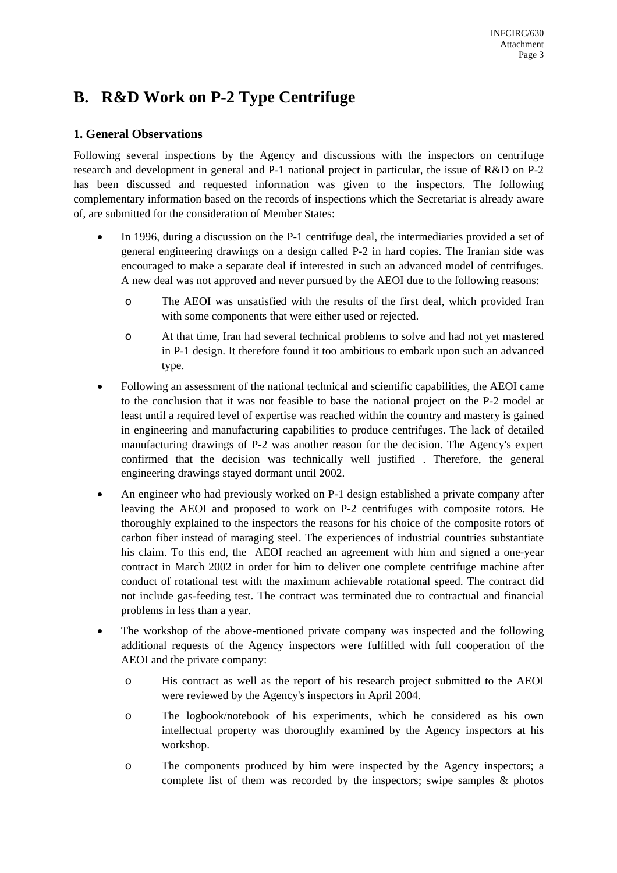### **B. R&D Work on P-2 Type Centrifuge**

#### **1. General Observations**

Following several inspections by the Agency and discussions with the inspectors on centrifuge research and development in general and P-1 national project in particular, the issue of R&D on P-2 has been discussed and requested information was given to the inspectors. The following complementary information based on the records of inspections which the Secretariat is already aware of, are submitted for the consideration of Member States:

- In 1996, during a discussion on the P-1 centrifuge deal, the intermediaries provided a set of general engineering drawings on a design called P-2 in hard copies. The Iranian side was encouraged to make a separate deal if interested in such an advanced model of centrifuges. A new deal was not approved and never pursued by the AEOI due to the following reasons:
	- o The AEOI was unsatisfied with the results of the first deal, which provided Iran with some components that were either used or rejected.
	- o At that time, Iran had several technical problems to solve and had not yet mastered in P-1 design. It therefore found it too ambitious to embark upon such an advanced type.
- Following an assessment of the national technical and scientific capabilities, the AEOI came to the conclusion that it was not feasible to base the national project on the P-2 model at least until a required level of expertise was reached within the country and mastery is gained in engineering and manufacturing capabilities to produce centrifuges. The lack of detailed manufacturing drawings of P-2 was another reason for the decision. The Agency's expert confirmed that the decision was technically well justified . Therefore, the general engineering drawings stayed dormant until 2002.
- An engineer who had previously worked on P-1 design established a private company after leaving the AEOI and proposed to work on P-2 centrifuges with composite rotors. He thoroughly explained to the inspectors the reasons for his choice of the composite rotors of carbon fiber instead of maraging steel. The experiences of industrial countries substantiate his claim. To this end, the AEOI reached an agreement with him and signed a one-year contract in March 2002 in order for him to deliver one complete centrifuge machine after conduct of rotational test with the maximum achievable rotational speed. The contract did not include gas-feeding test. The contract was terminated due to contractual and financial problems in less than a year.
- The workshop of the above-mentioned private company was inspected and the following additional requests of the Agency inspectors were fulfilled with full cooperation of the AEOI and the private company:
	- o His contract as well as the report of his research project submitted to the AEOI were reviewed by the Agency's inspectors in April 2004.
	- o The logbook/notebook of his experiments, which he considered as his own intellectual property was thoroughly examined by the Agency inspectors at his workshop.
	- o The components produced by him were inspected by the Agency inspectors; a complete list of them was recorded by the inspectors; swipe samples & photos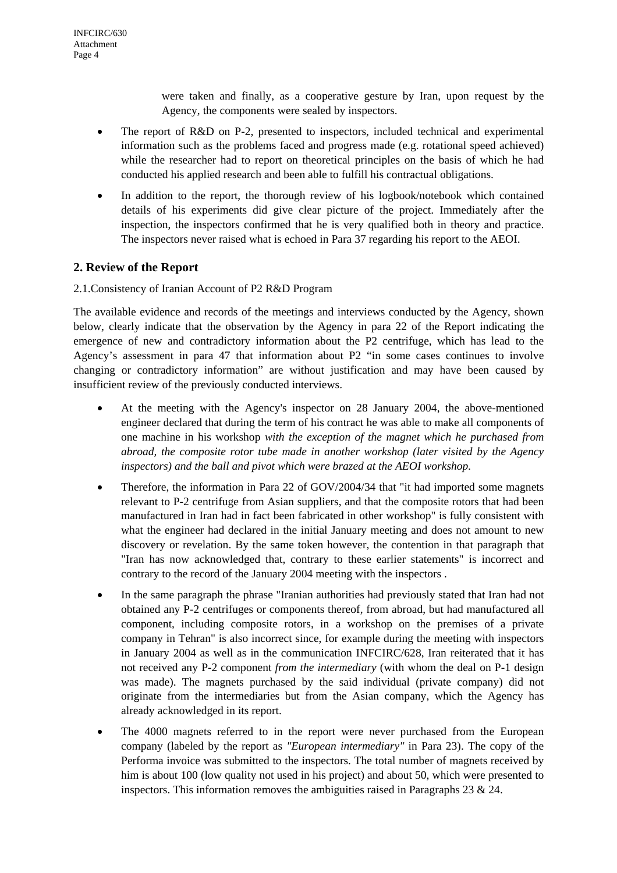were taken and finally, as a cooperative gesture by Iran, upon request by the Agency, the components were sealed by inspectors.

- The report of R&D on P-2, presented to inspectors, included technical and experimental information such as the problems faced and progress made (e.g. rotational speed achieved) while the researcher had to report on theoretical principles on the basis of which he had conducted his applied research and been able to fulfill his contractual obligations.
- In addition to the report, the thorough review of his logbook/notebook which contained details of his experiments did give clear picture of the project. Immediately after the inspection, the inspectors confirmed that he is very qualified both in theory and practice. The inspectors never raised what is echoed in Para 37 regarding his report to the AEOI.

#### **2. Review of the Report**

#### 2.1.Consistency of Iranian Account of P2 R&D Program

The available evidence and records of the meetings and interviews conducted by the Agency, shown below, clearly indicate that the observation by the Agency in para 22 of the Report indicating the emergence of new and contradictory information about the P2 centrifuge, which has lead to the Agency's assessment in para 47 that information about P2 "in some cases continues to involve changing or contradictory information" are without justification and may have been caused by insufficient review of the previously conducted interviews.

- At the meeting with the Agency's inspector on 28 January 2004, the above-mentioned engineer declared that during the term of his contract he was able to make all components of one machine in his workshop *with the exception of the magnet which he purchased from abroad, the composite rotor tube made in another workshop (later visited by the Agency inspectors) and the ball and pivot which were brazed at the AEOI workshop.*
- Therefore, the information in Para 22 of GOV/2004/34 that "it had imported some magnets" relevant to P-2 centrifuge from Asian suppliers, and that the composite rotors that had been manufactured in Iran had in fact been fabricated in other workshop" is fully consistent with what the engineer had declared in the initial January meeting and does not amount to new discovery or revelation. By the same token however, the contention in that paragraph that "Iran has now acknowledged that, contrary to these earlier statements" is incorrect and contrary to the record of the January 2004 meeting with the inspectors .
- In the same paragraph the phrase "Iranian authorities had previously stated that Iran had not obtained any P-2 centrifuges or components thereof, from abroad, but had manufactured all component, including composite rotors, in a workshop on the premises of a private company in Tehran" is also incorrect since, for example during the meeting with inspectors in January 2004 as well as in the communication INFCIRC/628, Iran reiterated that it has not received any P-2 component *from the intermediary* (with whom the deal on P-1 design was made). The magnets purchased by the said individual (private company) did not originate from the intermediaries but from the Asian company, which the Agency has already acknowledged in its report.
- The 4000 magnets referred to in the report were never purchased from the European company (labeled by the report as *"European intermediary"* in Para 23). The copy of the Performa invoice was submitted to the inspectors. The total number of magnets received by him is about 100 (low quality not used in his project) and about 50, which were presented to inspectors. This information removes the ambiguities raised in Paragraphs 23  $\&$  24.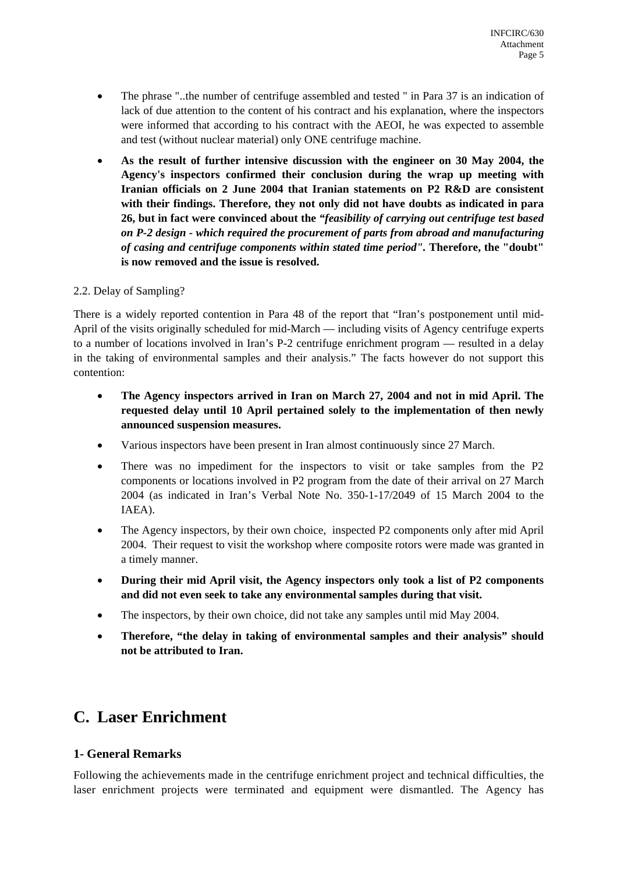- The phrase "..the number of centrifuge assembled and tested " in Para 37 is an indication of lack of due attention to the content of his contract and his explanation, where the inspectors were informed that according to his contract with the AEOI, he was expected to assemble and test (without nuclear material) only ONE centrifuge machine.
- **As the result of further intensive discussion with the engineer on 30 May 2004, the Agency's inspectors confirmed their conclusion during the wrap up meeting with Iranian officials on 2 June 2004 that Iranian statements on P2 R&D are consistent with their findings. Therefore, they not only did not have doubts as indicated in para 26, but in fact were convinced about the** *"feasibility of carrying out centrifuge test based on P-2 design - which required the procurement of parts from abroad and manufacturing of casing and centrifuge components within stated time period".* **Therefore, the "doubt" is now removed and the issue is resolved.**

#### 2.2. Delay of Sampling?

There is a widely reported contention in Para 48 of the report that "Iran's postponement until mid-April of the visits originally scheduled for mid-March — including visits of Agency centrifuge experts to a number of locations involved in Iran's P-2 centrifuge enrichment program — resulted in a delay in the taking of environmental samples and their analysis." The facts however do not support this contention:

- **The Agency inspectors arrived in Iran on March 27, 2004 and not in mid April. The requested delay until 10 April pertained solely to the implementation of then newly announced suspension measures.**
- Various inspectors have been present in Iran almost continuously since 27 March.
- There was no impediment for the inspectors to visit or take samples from the P2 components or locations involved in P2 program from the date of their arrival on 27 March 2004 (as indicated in Iran's Verbal Note No. 350-1-17/2049 of 15 March 2004 to the IAEA).
- The Agency inspectors, by their own choice, inspected P2 components only after mid April 2004. Their request to visit the workshop where composite rotors were made was granted in a timely manner.
- **During their mid April visit, the Agency inspectors only took a list of P2 components and did not even seek to take any environmental samples during that visit.**
- The inspectors, by their own choice, did not take any samples until mid May 2004.
- **Therefore, "the delay in taking of environmental samples and their analysis" should not be attributed to Iran.**

## **C. Laser Enrichment**

#### **1- General Remarks**

Following the achievements made in the centrifuge enrichment project and technical difficulties, the laser enrichment projects were terminated and equipment were dismantled. The Agency has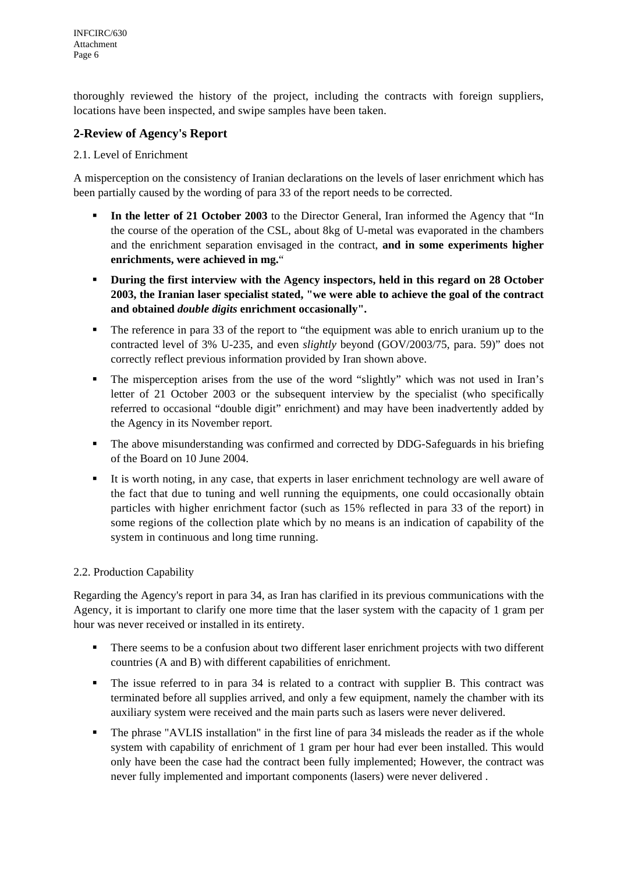thoroughly reviewed the history of the project, including the contracts with foreign suppliers, locations have been inspected, and swipe samples have been taken.

#### **2-Review of Agency's Report**

#### 2.1. Level of Enrichment

A misperception on the consistency of Iranian declarations on the levels of laser enrichment which has been partially caused by the wording of para 33 of the report needs to be corrected.

- **In the letter of 21 October 2003** to the Director General, Iran informed the Agency that "In the course of the operation of the CSL, about 8kg of U-metal was evaporated in the chambers and the enrichment separation envisaged in the contract, **and in some experiments higher enrichments, were achieved in mg.**"
- **During the first interview with the Agency inspectors, held in this regard on 28 October 2003, the Iranian laser specialist stated, "we were able to achieve the goal of the contract and obtained** *double digits* **enrichment occasionally".**
- The reference in para 33 of the report to "the equipment was able to enrich uranium up to the contracted level of 3% U-235, and even *slightly* beyond (GOV/2003/75, para. 59)" does not correctly reflect previous information provided by Iran shown above.
- The misperception arises from the use of the word "slightly" which was not used in Iran's letter of 21 October 2003 or the subsequent interview by the specialist (who specifically referred to occasional "double digit" enrichment) and may have been inadvertently added by the Agency in its November report.
- The above misunderstanding was confirmed and corrected by DDG-Safeguards in his briefing of the Board on 10 June 2004.
- It is worth noting, in any case, that experts in laser enrichment technology are well aware of the fact that due to tuning and well running the equipments, one could occasionally obtain particles with higher enrichment factor (such as 15% reflected in para 33 of the report) in some regions of the collection plate which by no means is an indication of capability of the system in continuous and long time running.

#### 2.2. Production Capability

Regarding the Agency's report in para 34, as Iran has clarified in its previous communications with the Agency, it is important to clarify one more time that the laser system with the capacity of 1 gram per hour was never received or installed in its entirety.

- There seems to be a confusion about two different laser enrichment projects with two different countries (A and B) with different capabilities of enrichment.
- The issue referred to in para 34 is related to a contract with supplier B. This contract was terminated before all supplies arrived, and only a few equipment, namely the chamber with its auxiliary system were received and the main parts such as lasers were never delivered.
- The phrase "AVLIS installation" in the first line of para 34 misleads the reader as if the whole system with capability of enrichment of 1 gram per hour had ever been installed. This would only have been the case had the contract been fully implemented; However, the contract was never fully implemented and important components (lasers) were never delivered .